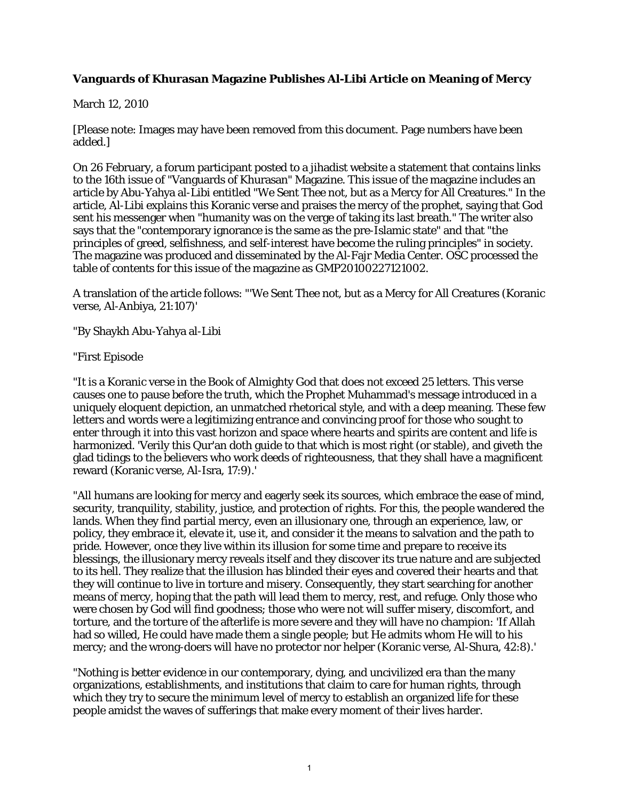## **Vanguards of Khurasan Magazine Publishes Al-Libi Article on Meaning of Mercy**

## March 12, 2010

[Please note: Images may have been removed from this document. Page numbers have been added.]

On 26 February, a forum participant posted to a jihadist website a statement that contains links to the 16th issue of "Vanguards of Khurasan" Magazine. This issue of the magazine includes an article by Abu-Yahya al-Libi entitled "We Sent Thee not, but as a Mercy for All Creatures." In the article, Al-Libi explains this Koranic verse and praises the mercy of the prophet, saying that God sent his messenger when "humanity was on the verge of taking its last breath." The writer also says that the "contemporary ignorance is the same as the pre-Islamic state" and that "the principles of greed, selfishness, and self-interest have become the ruling principles" in society. The magazine was produced and disseminated by the Al-Fajr Media Center. OSC processed the table of contents for this issue of the magazine as GMP20100227121002.

A translation of the article follows: "'We Sent Thee not, but as a Mercy for All Creatures (Koranic verse, Al-Anbiya, 21:107)'

"By Shaykh Abu-Yahya al-Libi

"First Episode

"It is a Koranic verse in the Book of Almighty God that does not exceed 25 letters. This verse causes one to pause before the truth, which the Prophet Muhammad's message introduced in a uniquely eloquent depiction, an unmatched rhetorical style, and with a deep meaning. These few letters and words were a legitimizing entrance and convincing proof for those who sought to enter through it into this vast horizon and space where hearts and spirits are content and life is harmonized. 'Verily this Qur'an doth guide to that which is most right (or stable), and giveth the glad tidings to the believers who work deeds of righteousness, that they shall have a magnificent reward (Koranic verse, Al-Isra, 17:9).'

"All humans are looking for mercy and eagerly seek its sources, which embrace the ease of mind, security, tranquility, stability, justice, and protection of rights. For this, the people wandered the lands. When they find partial mercy, even an illusionary one, through an experience, law, or policy, they embrace it, elevate it, use it, and consider it the means to salvation and the path to pride. However, once they live within its illusion for some time and prepare to receive its blessings, the illusionary mercy reveals itself and they discover its true nature and are subjected to its hell. They realize that the illusion has blinded their eyes and covered their hearts and that they will continue to live in torture and misery. Consequently, they start searching for another means of mercy, hoping that the path will lead them to mercy, rest, and refuge. Only those who were chosen by God will find goodness; those who were not will suffer misery, discomfort, and torture, and the torture of the afterlife is more severe and they will have no champion: 'If Allah had so willed, He could have made them a single people; but He admits whom He will to his mercy; and the wrong-doers will have no protector nor helper (Koranic verse, Al-Shura, 42:8).'

"Nothing is better evidence in our contemporary, dying, and uncivilized era than the many organizations, establishments, and institutions that claim to care for human rights, through which they try to secure the minimum level of mercy to establish an organized life for these people amidst the waves of sufferings that make every moment of their lives harder.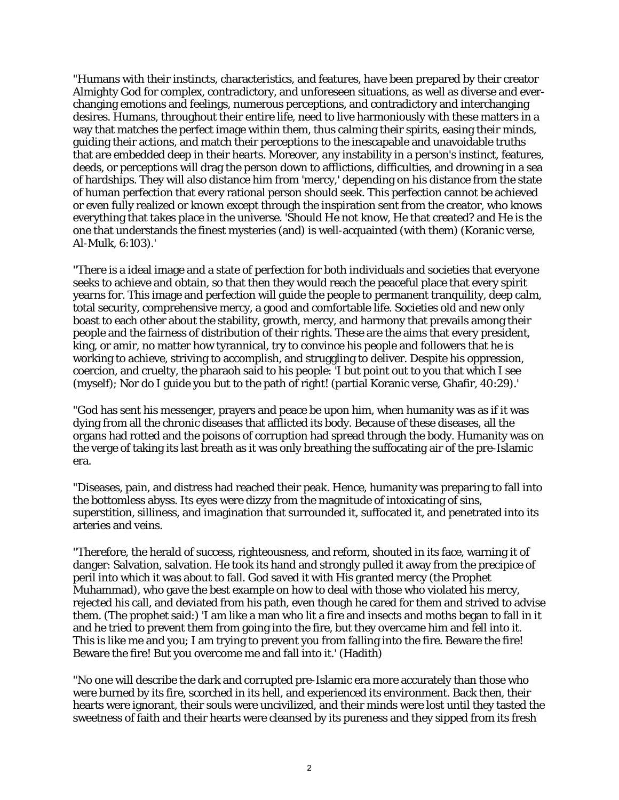"Humans with their instincts, characteristics, and features, have been prepared by their creator Almighty God for complex, contradictory, and unforeseen situations, as well as diverse and everchanging emotions and feelings, numerous perceptions, and contradictory and interchanging desires. Humans, throughout their entire life, need to live harmoniously with these matters in a way that matches the perfect image within them, thus calming their spirits, easing their minds, guiding their actions, and match their perceptions to the inescapable and unavoidable truths that are embedded deep in their hearts. Moreover, any instability in a person's instinct, features, deeds, or perceptions will drag the person down to afflictions, difficulties, and drowning in a sea of hardships. They will also distance him from 'mercy,' depending on his distance from the state of human perfection that every rational person should seek. This perfection cannot be achieved or even fully realized or known except through the inspiration sent from the creator, who knows everything that takes place in the universe. 'Should He not know, He that created? and He is the one that understands the finest mysteries (and) is well-acquainted (with them) (Koranic verse, Al-Mulk, 6:103).'

"There is a ideal image and a state of perfection for both individuals and societies that everyone seeks to achieve and obtain, so that then they would reach the peaceful place that every spirit yearns for. This image and perfection will guide the people to permanent tranquility, deep calm, total security, comprehensive mercy, a good and comfortable life. Societies old and new only boast to each other about the stability, growth, mercy, and harmony that prevails among their people and the fairness of distribution of their rights. These are the aims that every president, king, or amir, no matter how tyrannical, try to convince his people and followers that he is working to achieve, striving to accomplish, and struggling to deliver. Despite his oppression, coercion, and cruelty, the pharaoh said to his people: 'I but point out to you that which I see (myself); Nor do I guide you but to the path of right! (partial Koranic verse, Ghafir, 40:29).'

"God has sent his messenger, prayers and peace be upon him, when humanity was as if it was dying from all the chronic diseases that afflicted its body. Because of these diseases, all the organs had rotted and the poisons of corruption had spread through the body. Humanity was on the verge of taking its last breath as it was only breathing the suffocating air of the pre-Islamic era.

"Diseases, pain, and distress had reached their peak. Hence, humanity was preparing to fall into the bottomless abyss. Its eyes were dizzy from the magnitude of intoxicating of sins, superstition, silliness, and imagination that surrounded it, suffocated it, and penetrated into its arteries and veins.

"Therefore, the herald of success, righteousness, and reform, shouted in its face, warning it of danger: Salvation, salvation. He took its hand and strongly pulled it away from the precipice of peril into which it was about to fall. God saved it with His granted mercy (the Prophet Muhammad), who gave the best example on how to deal with those who violated his mercy, rejected his call, and deviated from his path, even though he cared for them and strived to advise them. (The prophet said:) 'I am like a man who lit a fire and insects and moths began to fall in it and he tried to prevent them from going into the fire, but they overcame him and fell into it. This is like me and you; I am trying to prevent you from falling into the fire. Beware the fire! Beware the fire! But you overcome me and fall into it.' (Hadith)

"No one will describe the dark and corrupted pre-Islamic era more accurately than those who were burned by its fire, scorched in its hell, and experienced its environment. Back then, their hearts were ignorant, their souls were uncivilized, and their minds were lost until they tasted the sweetness of faith and their hearts were cleansed by its pureness and they sipped from its fresh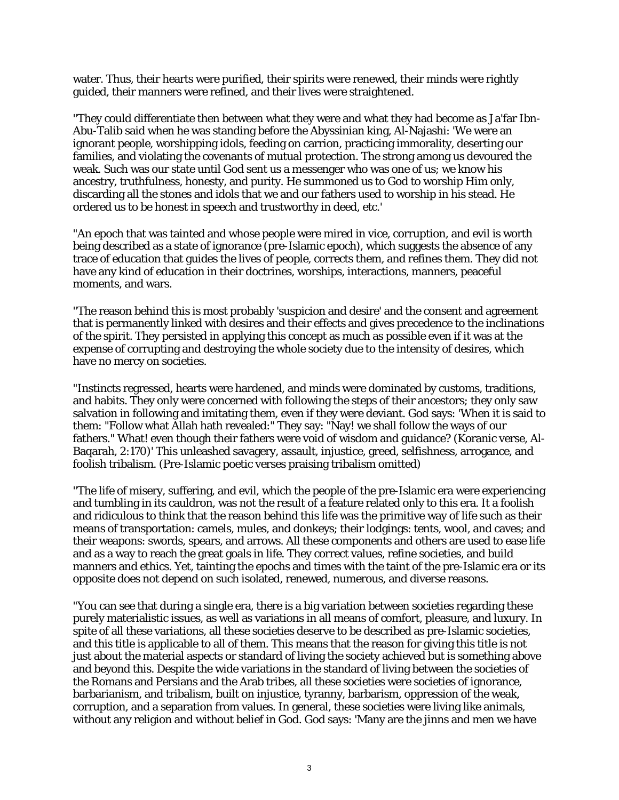water. Thus, their hearts were purified, their spirits were renewed, their minds were rightly guided, their manners were refined, and their lives were straightened.

"They could differentiate then between what they were and what they had become as Ja'far Ibn-Abu-Talib said when he was standing before the Abyssinian king, Al-Najashi: 'We were an ignorant people, worshipping idols, feeding on carrion, practicing immorality, deserting our families, and violating the covenants of mutual protection. The strong among us devoured the weak. Such was our state until God sent us a messenger who was one of us; we know his ancestry, truthfulness, honesty, and purity. He summoned us to God to worship Him only, discarding all the stones and idols that we and our fathers used to worship in his stead. He ordered us to be honest in speech and trustworthy in deed, etc.'

"An epoch that was tainted and whose people were mired in vice, corruption, and evil is worth being described as a state of ignorance (pre-Islamic epoch), which suggests the absence of any trace of education that guides the lives of people, corrects them, and refines them. They did not have any kind of education in their doctrines, worships, interactions, manners, peaceful moments, and wars.

"The reason behind this is most probably 'suspicion and desire' and the consent and agreement that is permanently linked with desires and their effects and gives precedence to the inclinations of the spirit. They persisted in applying this concept as much as possible even if it was at the expense of corrupting and destroying the whole society due to the intensity of desires, which have no mercy on societies.

"Instincts regressed, hearts were hardened, and minds were dominated by customs, traditions, and habits. They only were concerned with following the steps of their ancestors; they only saw salvation in following and imitating them, even if they were deviant. God says: 'When it is said to them: "Follow what Allah hath revealed:" They say: "Nay! we shall follow the ways of our fathers." What! even though their fathers were void of wisdom and guidance? (Koranic verse, Al-Baqarah, 2:170)' This unleashed savagery, assault, injustice, greed, selfishness, arrogance, and foolish tribalism. (Pre-Islamic poetic verses praising tribalism omitted)

"The life of misery, suffering, and evil, which the people of the pre-Islamic era were experiencing and tumbling in its cauldron, was not the result of a feature related only to this era. It a foolish and ridiculous to think that the reason behind this life was the primitive way of life such as their means of transportation: camels, mules, and donkeys; their lodgings: tents, wool, and caves; and their weapons: swords, spears, and arrows. All these components and others are used to ease life and as a way to reach the great goals in life. They correct values, refine societies, and build manners and ethics. Yet, tainting the epochs and times with the taint of the pre-Islamic era or its opposite does not depend on such isolated, renewed, numerous, and diverse reasons.

"You can see that during a single era, there is a big variation between societies regarding these purely materialistic issues, as well as variations in all means of comfort, pleasure, and luxury. In spite of all these variations, all these societies deserve to be described as pre-Islamic societies, and this title is applicable to all of them. This means that the reason for giving this title is not just about the material aspects or standard of living the society achieved but is something above and beyond this. Despite the wide variations in the standard of living between the societies of the Romans and Persians and the Arab tribes, all these societies were societies of ignorance, barbarianism, and tribalism, built on injustice, tyranny, barbarism, oppression of the weak, corruption, and a separation from values. In general, these societies were living like animals, without any religion and without belief in God. God says: 'Many are the jinns and men we have